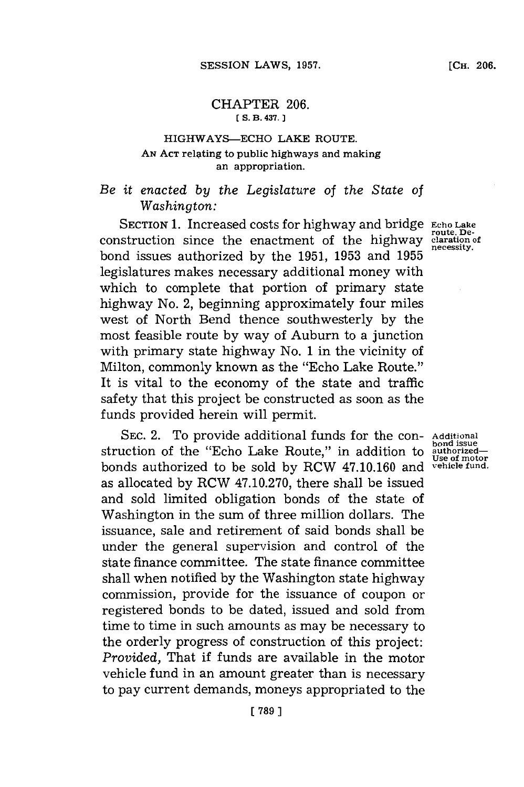### CHAPTER **206. [ S. B. 437.**

# HIGHWAYS-ECHO LAKE ROUTE. **AN ACT** relating to public highways and making an appropriation.

# *Be it enacted by the Legislature of the State of Washington:*

SECTION **1.** Increased costs for highway and bridge **Echo Lake route. De-** construction since the enactment of the highway claration of construction since the enactment of the highway claration bond issues authorized by the 1951, 1953 and 1955 legislatures makes necessary additional money with which to complete that portion of primary state highway No. 2, beginning approximately four miles west of North Bend thence southwesterly **by** the most feasible route **by** way of Auburn to a junction with primary state highway No. **1** in the vicinity of Milton, commonly known as the "Echo Lake Route." It is vital to the economy of the state and traffic safety that this project be constructed as soon as the funds provided herein will permit.

SEC. 2. To provide additional funds for the con- **Additional** struction of the "Echo Lake Route," in addition to bonds authorized to be sold **by** RCW 47.10.160 and **vehicle fund.** as allocated **by** RCW **47.10.270,** there shall be issued and sold limited obligation bonds of the state of Washington in the sum of three million dollars. The issuance, sale and retirement of said bonds shall be under the general supervision and control of the state finance committee. The state finance committee shall when notified **by** the Washington state highway commission, provide for the issuance of coupon or registered bonds to be dated, issued and sold from time to time in such amounts as may be necessary to the orderly progress of construction of this project: *Provided,* That if funds are available in the motor vehicle fund in an amount greater than is necessary to pay current demands, moneys appropriated to the

**bond issue**<br>authorized—<br>Use of motor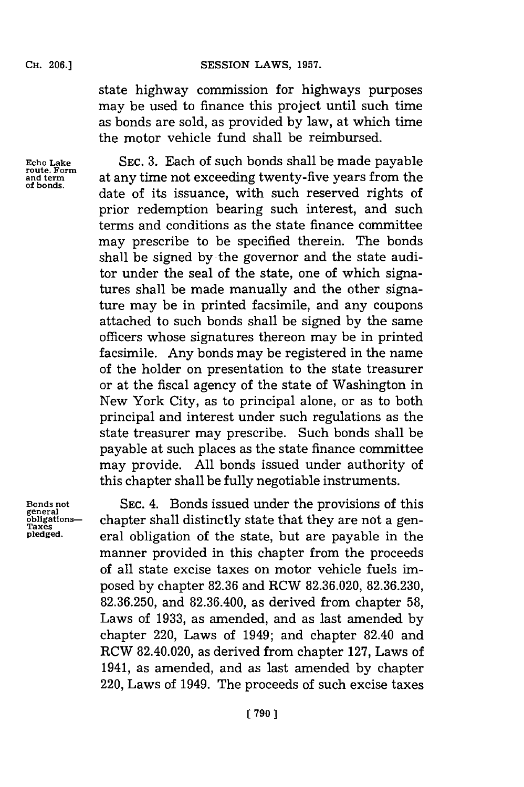## CH. **06.]SESSION** LAWS, **1957.**

state highway commission for highways purposes may be used to finance this project until such time as bonds are sold, as provided **by** law, at which time the motor vehicle fund shall be reimbursed.

Echo Lake SEC. 3. Each of such bonds shall be made payable<br> **route. Form** at any time not exceeding twenty-five years from the<br>
of bonds. date of its issuance, with such reserved rights of prior redemption bearing such interest, and such terms and conditions as the state finance committee may prescribe to be specified therein. The bonds shall be signed **by** the governor and the state auditor under the seal of the state, one of which signatures shall be made manually and the other signature may be in printed facsimile, and any coupons attached to such bonds shall be signed **by** the same officers whose signatures thereon may be in printed facsimile. Any bonds may be registered in the name of the holder on presentation to the state treasurer or at the fiscal agency of the state of Washington in New York City, as to principal alone, or as to both principal and interest under such regulations as the state treasurer may prescribe. Such bonds shall be payable at such places as the state finance committee may provide. **All** bonds issued under authority of this chapter shall be fully negotiable instruments.

Bonds not **SEC. 4.** Bonds issued under the provisions of this obligations-<br> **Paxes**<br> **Paxes**<br> **Paxes**<br> **Paxes**<br> **Paxes**<br> **Paxes**<br> **Paxes**<br> **Paxes**<br> **Paxes**<br> **Paxes**<br> **Paxes**<br> **Paxes**<br> **Paxel Distributed in the state but ar** eral obligation of the state, but are payable in the manner provided in this chapter from the proceeds of all state excise taxes on motor vehicle fuels imposed **by** chapter **82.36** and RCW **82.36.020, 82.36.230, 82.36.250,** and **82.36.400,** as derived from chapter **58,** Laws of **1933,** as amended, and as last amended **by** chapter 220, Laws of 1949; and chapter 82.40 and RCW 82.40.020, as derived from chapter **127,** Laws of 1941, as amended, and as last amended **by** chapter 220, Laws of 1949. The proceeds of such excise taxes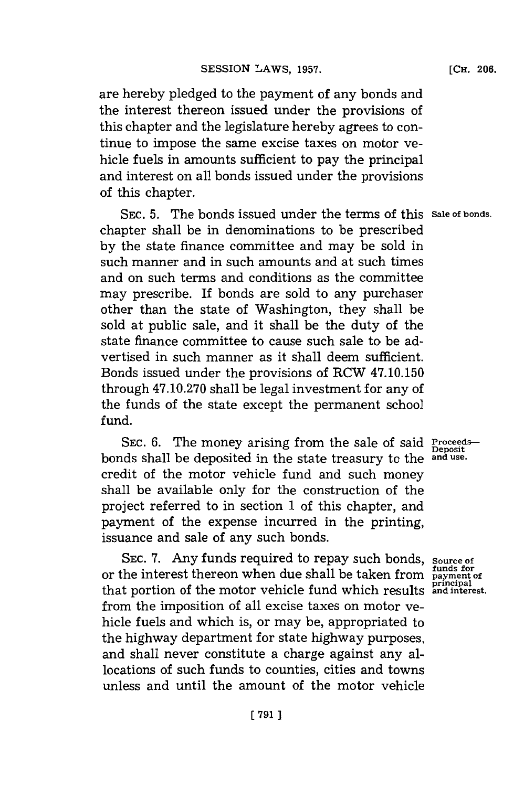are hereby pledged to the payment of any bonds and the interest thereon issued under the provisions of this chapter and the legislature hereby agrees to continue to impose the same excise taxes on motor vehicle fuels in amounts sufficient to pay the principal and interest on all bonds issued under the provisions of this chapter.

**SEC. 5.** The bonds issued under the terms of this **Sale of bonds.** chapter shall be in denominations to be prescribed **by** the state finance committee and may be sold in such manner and in such amounts and at such times and on such terms and conditions as the committee may prescribe. If bonds are sold to any purchaser other than the state of Washington, they shall be sold at public sale, and it shall be the duty of the state finance committee to cause such sale to be advertised in such manner as it shall deem sufficient. Bonds issued under the provisions of RCW 47.10.150 through **47.10.270** shall be legal investment for any of the funds of the state except the permanent school fund.

SEC. 6. The money arising from the sale of said **Proceeds** bonds shall be deposited in the state treasury to the credit of the motor vehicle fund and such money shall be available only for the construction of the project referred to in section **1** of this chapter, and payment of the expense incurred in the printing, issuance and sale of any such bonds.

SEC. 7. Any funds required to repay such bonds, source of or the interest thereon when due shall be taken from **payment of picipal** that portion of the motor vehicle fund which results **andinterest.** from the imposition of all excise taxes on motor vehicle fuels and which is, or may be, appropriated to the highway department for state highway purposes, and shall never constitute a charge against any allocations of such funds to counties, cities and towns unless and until the amount of the motor vehicle

Deposit<br>and use.

**funds for**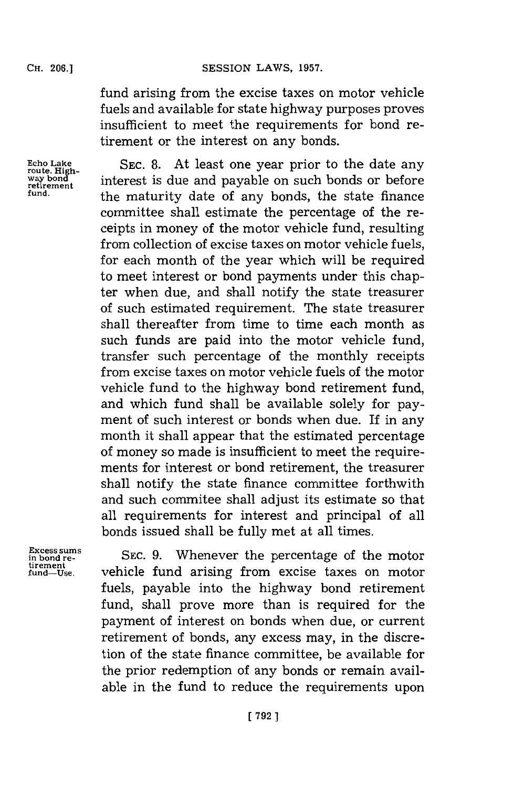### SESSION LAWS, 1957.

fund arising from the excise taxes on motor vehicle fuels and available for state highway purposes proves insufficient to meet the requirements for bond retirement or the interest on any bonds.

Echo Lake SEC. 8. At least one year prior to the date any way bond<br>way bond<br>retirement interest is due and payable on such bonds or before **is a condition interest is due and payable on such bonds or before**<br>retirement the maturity date of any bonds, the state finance committee shall estimate the percentage of the receipts in money of the motor vehicle fund, resulting from collection of excise taxes on motor vehicle fuels, for each month of the year which will be required to meet interest or bond payments under this chapter when due, and shall notify the state treasurer of such estimated requirement. The state treasurer shall thereafter from time to time each month as such funds are paid into the motor vehicle fund, transfer such percentage of the monthly receipts from excise taxes on motor vehicle fuels of the motor vehicle fund to the highway bond retirement fund, and which fund shall be available solely for payment of such interest or bonds when due. If in any month it shall appear that the estimated percentage of money so made is insufficient to meet the requirements for interest or bond retirement, the treasurer shall notify the state finance committee forthwith and such commitee shall adjust its estimate so that all requirements for interest and principal of all bonds issued shall be fully met at all times.

**tirement**

**Excess sums**<br>in bond re-<br>**SEC.** 9. Whenever the percentage of the mo vehicle fund arising from excise taxes on motor fuels, payable into the highway bond retirement fund, shall prove more than is required for the payment of interest on bonds when due, or current retirement of bonds, any excess may, in the discretion of the state finance committee, be available for the prior redemption of any bonds or remain available in the fund to reduce the requirements upon